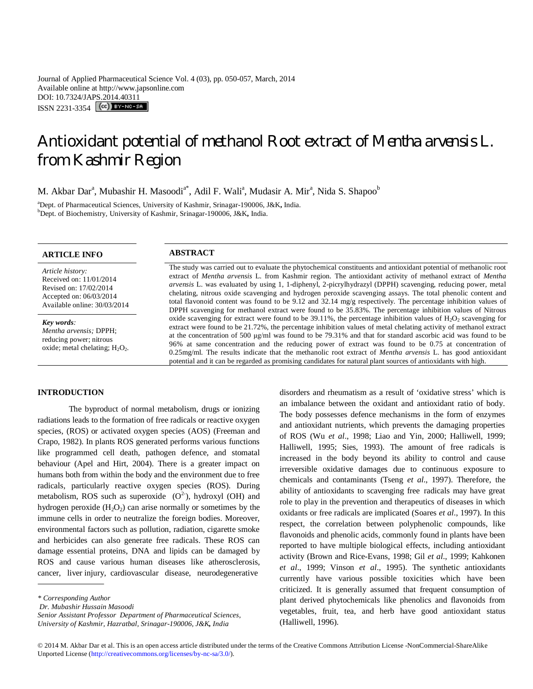Journal of Applied Pharmaceutical Science Vol. 4 (03), pp. 050-057, March, 2014 Available online at http://www.japsonline.com DOI: 10.7324/JAPS.2014.40311  $ISSN$   $2231-3354$   $\left[\text{cc}\right]$   $\left[\text{Br-RG-SR}\right]$ 

# Antioxidant potential of methanol Root extract of *Mentha arvensis* L. from Kashmir Region

M. Akbar Dar<sup>a</sup>, Mubashir H. Masoodi<sup>a\*</sup>, Adil F. Wali<sup>a</sup>, Mudasir A. Mir<sup>a</sup>, Nida S. Shapoo<sup>b</sup>

<sup>a</sup>Dept. of Pharmaceutical Sciences, University of Kashmir, Srinagar-190006, J&K**,** India. <sup>b</sup>Dept. of Biochemistry, University of Kashmir, Srinagar-190006, J&K**,** India.

# **ARTICLE INFO ABSTRACT**

#### *Article history:* Received on: 11/01/2014 Revised on: 17/02/2014 Accepted on: 06/03/2014 Available online: 30/03/2014

*Key words: Mentha arvensis;* DPPH; reducing power; nitrous oxide; metal chelating; H<sub>2</sub>O<sub>2</sub>.

The study was carried out to evaluate the phytochemical constituents and antioxidant potential of methanolic root extract of *Mentha arvensis* L. from Kashmir region. The antioxidant activity of methanol extract of *Mentha arvensis* L. was evaluated by using 1, 1-diphenyl, 2-picrylhydrazyl (DPPH) scavenging, reducing power, metal chelating, nitrous oxide scavenging and hydrogen peroxide scavenging assays. The total phenolic content and total flavonoid content was found to be 9.12 and 32.14 mg/g respectively*.* The percentage inhibition values of DPPH scavenging for methanol extract were found to be 35.83%. The percentage inhibition values of Nitrous oxide scavenging for extract were found to be 39.11%, the percentage inhibition values of  $H_2O_2$  scavenging for extract were found to be 21.72%, the percentage inhibition values of metal chelating activity of methanol extract at the concentration of 500 μg/ml was found to be 79.31% and that for standard ascorbic acid was found to be 96% at same concentration and the reducing power of extract was found to be 0.75 at concentration of 0.25mg/ml. The results indicate that the methanolic root extract of *Mentha arvensis* L. has good antioxidant potential and it can be regarded as promising candidates for natural plant sources of antioxidants with high.

#### **INTRODUCTION**

The byproduct of normal metabolism, drugs or ionizing radiations leads to the formation of free radicals or reactive oxygen species, (ROS) or activated oxygen species (AOS) (Freeman and Crapo, 1982). In plants ROS generated performs various functions like programmed cell death, pathogen defence, and stomatal behaviour (Apel and Hirt, 2004). There is a greater impact on humans both from within the body and the environment due to free radicals, particularly reactive oxygen species (ROS). During metabolism, ROS such as superoxide  $(O<sup>2</sup>)$ , hydroxyl (OH) and hydrogen peroxide  $(H_2O_2)$  can arise normally or sometimes by the immune cells in order to neutralize the foreign bodies. Moreover, environmental factors such as pollution, radiation, cigarette smoke and herbicides can also generate free radicals. These ROS can damage essential proteins, DNA and lipids can be damaged by ROS and cause various human diseases like atherosclerosis, cancer, liver injury, cardiovascular disease, neurodegenerative

*Dr. Mubashir Hussain Masoodi* 

*Senior Assistant Professor Department of Pharmaceutical Sciences, University of Kashmir, Hazratbal, Srinagar-190006, J&K, India*

disorders and rheumatism as a result of 'oxidative stress' which is an imbalance between the oxidant and antioxidant ratio of body. The body possesses defence mechanisms in the form of enzymes and antioxidant nutrients, which prevents the damaging properties of ROS (Wu *et al*., 1998; Liao and Yin, 2000; Halliwell, 1999; Halliwell, 1995; Sies, 1993). The amount of free radicals is increased in the body beyond its ability to control and cause irreversible oxidative damages due to continuous exposure to chemicals and contaminants (Tseng *et al*., 1997). Therefore, the ability of antioxidants to scavenging free radicals may have great role to play in the prevention and therapeutics of diseases in which oxidants or free radicals are implicated (Soares *et al*., 1997). In this respect, the correlation between polyphenolic compounds, like flavonoids and phenolic acids, commonly found in plants have been reported to have multiple biological effects, including antioxidant activity (Brown and Rice-Evans, 1998; Gil *et al*., 1999; Kahkonen *et al*., 1999; Vinson *et al*., 1995). The synthetic antioxidants currently have various possible toxicities which have been criticized. It is generally assumed that frequent consumption of plant derived phytochemicals like phenolics and flavonoids from vegetables, fruit, tea, and herb have good antioxidant status (Halliwell, 1996).

*<sup>\*</sup> Corresponding Author*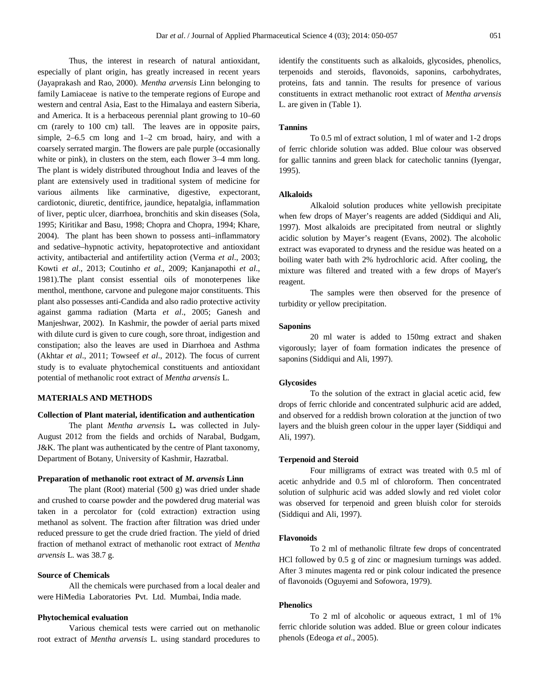Thus, the interest in research of natural antioxidant, especially of plant origin, has greatly increased in recent years (Jayaprakash and Rao, 2000). *Mentha arvensis* Linn belonging to family Lamiaceae is native to the temperate regions of Europe and western and central Asia, East to the Himalaya and eastern Siberia, and America. It is a herbaceous perennial plant growing to 10–60 cm (rarely to 100 cm) tall. The leaves are in opposite pairs, simple, 2–6.5 cm long and 1–2 cm broad, hairy, and with a coarsely serrated margin. The flowers are pale purple (occasionally white or pink), in clusters on the stem, each flower  $3-4$  mm long. The plant is widely distributed throughout India and leaves of the plant are extensively used in traditional system of medicine for various ailments like carminative, digestive, expectorant, cardiotonic, diuretic, dentifrice, jaundice, hepatalgia, inflammation of liver, peptic ulcer, diarrhoea, bronchitis and skin diseases (Sola, 1995; Kiritikar and Basu, 1998; Chopra and Chopra, 1994; Khare, 2004). The plant has been shown to possess anti–inflammatory and sedative–hypnotic activity, hepatoprotective and antioxidant activity, antibacterial and antifertility action (Verma *et al*., 2003; Kowti *et al*., 2013; Coutinho *et al*., 2009; Kanjanapothi *et al*., 1981).The plant consist essential oils of monoterpenes like menthol, menthone, carvone and pulegone major constituents. This plant also possesses anti-Candida and also radio protective activity against gamma radiation (Marta *et al*., 2005; Ganesh and Manjeshwar, 2002). In Kashmir, the powder of aerial parts mixed with dilute curd is given to cure cough, sore throat, indigestion and constipation; also the leaves are used in Diarrhoea and Asthma (Akhtar *et al*., 2011; Towseef *et al*., 2012). The focus of current study is to evaluate phytochemical constituents and antioxidant potential of methanolic root extract of *Mentha arvensis* L.

# **MATERIALS AND METHODS**

#### **Collection of Plant material, identification and authentication**

The plant *Mentha arvensis* L*.* was collected in July-August 2012 from the fields and orchids of Narabal, Budgam, J&K. The plant was authenticated by the centre of Plant taxonomy, Department of Botany, University of Kashmir, Hazratbal.

#### **Preparation of methanolic root extract of** *M. arvensis* **Linn**

The plant (Root) material (500 g) was dried under shade and crushed to coarse powder and the powdered drug material was taken in a percolator for (cold extraction) extraction using methanol as solvent. The fraction after filtration was dried under reduced pressure to get the crude dried fraction. The yield of dried fraction of methanol extract of methanolic root extract of *Mentha arvensis* L. was 38.7 g.

# **Source of Chemicals**

All the chemicals were purchased from a local dealer and were HiMedia Laboratories Pvt. Ltd. Mumbai, India made.

# **Phytochemical evaluation**

Various chemical tests were carried out on methanolic root extract of *Mentha arvensis* L. using standard procedures to

identify the constituents such as alkaloids, glycosides, phenolics, terpenoids and steroids, flavonoids, saponins, carbohydrates, proteins, fats and tannin. The results for presence of various constituents in extract methanolic root extract of *Mentha arvensis*  L. are given in (Table 1).

#### **Tannins**

To 0.5 ml of extract solution, 1 ml of water and 1-2 drops of ferric chloride solution was added. Blue colour was observed for gallic tannins and green black for catecholic tannins (Iyengar, 1995).

# **Alkaloids**

Alkaloid solution produces white yellowish precipitate when few drops of Mayer's reagents are added (Siddiqui and Ali, 1997). Most alkaloids are precipitated from neutral or slightly acidic solution by Mayer's reagent (Evans, 2002). The alcoholic extract was evaporated to dryness and the residue was heated on a boiling water bath with 2% hydrochloric acid. After cooling, the mixture was filtered and treated with a few drops of Mayer's reagent.

The samples were then observed for the presence of turbidity or yellow precipitation.

#### **Saponins**

20 ml water is added to 150mg extract and shaken vigorously; layer of foam formation indicates the presence of saponins (Siddiqui and Ali, 1997).

#### **Glycosides**

To the solution of the extract in glacial acetic acid, few drops of ferric chloride and concentrated sulphuric acid are added, and observed for a reddish brown coloration at the junction of two layers and the bluish green colour in the upper layer (Siddiqui and Ali, 1997).

# **Terpenoid and Steroid**

Four milligrams of extract was treated with 0.5 ml of acetic anhydride and 0.5 ml of chloroform. Then concentrated solution of sulphuric acid was added slowly and red violet color was observed for terpenoid and green bluish color for steroids (Siddiqui and Ali, 1997).

#### **Flavonoids**

To 2 ml of methanolic filtrate few drops of concentrated HCl followed by 0.5 g of zinc or magnesium turnings was added. After 3 minutes magenta red or pink colour indicated the presence of flavonoids (Oguyemi and Sofowora, 1979).

#### **Phenolics**

To 2 ml of alcoholic or aqueous extract, 1 ml of 1% ferric chloride solution was added. Blue or green colour indicates phenols (Edeoga *et al*., 2005).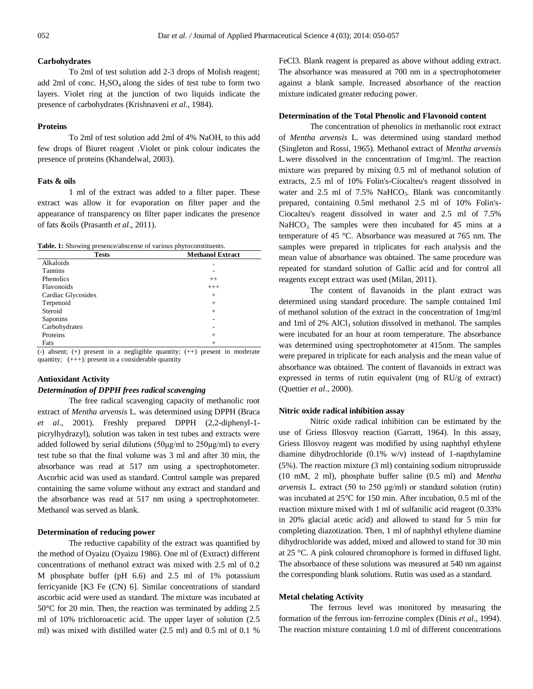#### **Carbohydrates**

To 2ml of test solution add 2-3 drops of Molish reagent; add 2ml of conc.  $H_2SO_4$  along the sides of test tube to form two layers. Violet ring at the junction of two liquids indicate the presence of carbohydrates (Krishnaveni *et al*., 1984).

#### **Proteins**

To 2ml of test solution add 2ml of 4% NaOH, to this add few drops of Biuret reagent .Violet or pink colour indicates the presence of proteins (Khandelwal, 2003).

#### **Fats & oils**

1 ml of the extract was added to a filter paper. These extract was allow it for evaporation on filter paper and the appearance of transparency on filter paper indicates the presence of fats &oils (Prasanth *et al*., 2011).

**Table. 1:** Showing presence/abscense of various phytoconstituents.

| <b>Tests</b>       | <b>Methanol Extract</b> |
|--------------------|-------------------------|
| Alkaloids          | $+$                     |
| <b>Tannins</b>     |                         |
| Phenolics          | $++$                    |
| Flavonoids         | $+++$                   |
| Cardiac Glycosides | $^{+}$                  |
| Terpenoid          | $^{+}$                  |
| Steroid            | $^{+}$                  |
| Saponins           |                         |
| Carbohydrates      |                         |
| Proteins           | $^{+}$                  |
| Fats               | $^{+}$                  |

 $\overline{(-)}$  absent;  $(+)$  present in a negligible quantity;  $(+)$  present in moderate quantity; (+++): present in a considerable quantity

# **Antioxidant Activity**

#### *Determination of DPPH frees radical scavenging*

The free radical scavenging capacity of methanolic root extract of *Mentha arvensis* L*.* was determined using DPPH (Braca *et al*., 2001). Freshly prepared DPPH (2,2-diphenyl-1 picrylhydrazyl), solution was taken in test tubes and extracts were added followed by serial dilutions (50μg/ml to 250μg/ml) to every test tube so that the final volume was 3 ml and after 30 min, the absorbance was read at 517 nm using a spectrophotometer. Ascorbic acid was used as standard. Control sample was prepared containing the same volume without any extract and standard and the absorbance was read at 517 nm using a spectrophotometer. Methanol was served as blank.

# **Determination of reducing power**

The reductive capability of the extract was quantified by the method of Oyaizu (Oyaizu 1986). One ml of (Extract) different concentrations of methanol extract was mixed with 2.5 ml of 0.2 M phosphate buffer (pH 6.6) and 2.5 ml of 1% potassium ferricyanide [K3 Fe (CN) 6]. Similar concentrations of standard ascorbic acid were used as standard. The mixture was incubated at 50°C for 20 min. Then, the reaction was terminated by adding 2.5 ml of 10% trichloroacetic acid. The upper layer of solution (2.5 ml) was mixed with distilled water (2.5 ml) and 0.5 ml of 0.1 %

FeCl3. Blank reagent is prepared as above without adding extract. The absorbance was measured at 700 nm in a spectrophotometer against a blank sample. Increased absorbance of the reaction mixture indicated greater reducing power.

## **Determination of the Total Phenolic and Flavonoid content**

The concentration of phenolics in methanolic root extract of *Mentha arvensis* L*.* was determined using standard method (Singleton and Rossi, 1965). Methanol extract of *Mentha arvensis*  L*.*were dissolved in the concentration of 1mg/ml. The reaction mixture was prepared by mixing 0.5 ml of methanol solution of extracts, 2.5 ml of 10% Folin's-Ciocalteu's reagent dissolved in water and  $2.5$  ml of  $7.5\%$  NaHCO<sub>3</sub>. Blank was concomitantly prepared, containing 0.5ml methanol 2.5 ml of 10% Folin's-Ciocalteu's reagent dissolved in water and 2.5 ml of 7.5%  $NaHCO<sub>3</sub>$ . The samples were then incubated for 45 mins at a temperature of 45 °C. Absorbance was measured at 765 nm. The samples were prepared in triplicates for each analysis and the mean value of absorbance was obtained. The same procedure was repeated for standard solution of Gallic acid and for control all reagents except extract was used (Milan, 2011).

The content of flavanoids in the plant extract was determined using standard procedure. The sample contained 1ml of methanol solution of the extract in the concentration of 1mg/ml and 1ml of  $2\%$  AlCl<sub>3</sub> solution dissolved in methanol. The samples were incubated for an hour at room temperature. The absorbance was determined using spectrophotometer at 415nm. The samples were prepared in triplicate for each analysis and the mean value of absorbance was obtained. The content of flavanoids in extract was expressed in terms of rutin equivalent (mg of RU/g of extract) (Quettier *et al*., 2000).

#### **Nitric oxide radical inhibition assay**

Nitric oxide radical inhibition can be estimated by the use of Griess Illosvoy reaction (Garratt, 1964). In this assay, Griess Illosvoy reagent was modified by using naphthyl ethylene diamine dihydrochloride (0.1% w/v) instead of 1-napthylamine (5%). The reaction mixture (3 ml) containing sodium nitroprusside (10 mM, 2 ml), phosphate buffer saline (0.5 ml) and *Mentha arvensis* L*.* extract (50 to 250 μg/ml) or standard solution (rutin) was incubated at 25°C for 150 min. After incubation, 0.5 ml of the reaction mixture mixed with 1 ml of sulfanilic acid reagent (0.33% in 20% glacial acetic acid) and allowed to stand for 5 min for completing diazotization. Then, 1 ml of naphthyl ethylene diamine dihydrochloride was added, mixed and allowed to stand for 30 min at 25 °C. A pink coloured chromophore is formed in diffused light. The absorbance of these solutions was measured at 540 nm against the corresponding blank solutions. Rutin was used as a standard.

#### **Metal chelating Activity**

The ferrous level was monitored by measuring the formation of the ferrous ion‐ferrozine complex (Dinis *et al*., 1994). The reaction mixture containing 1.0 ml of different concentrations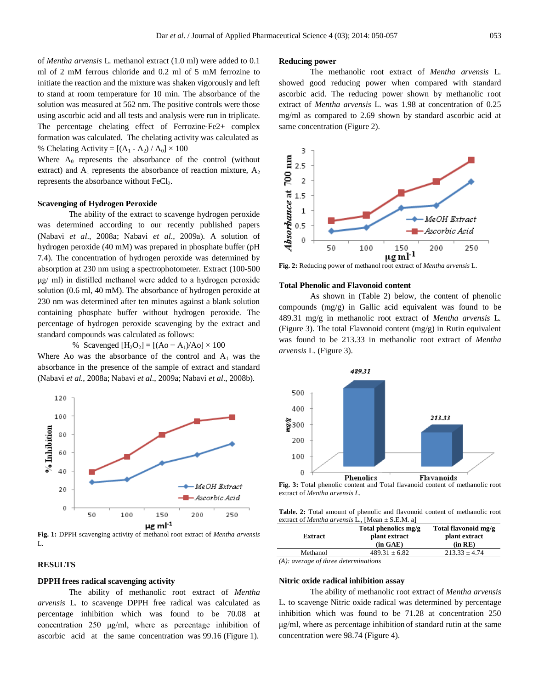of *Mentha arvensis* L*.* methanol extract (1.0 ml) were added to 0.1 ml of 2 mM ferrous chloride and 0.2 ml of 5 mM ferrozine to initiate the reaction and the mixture was shaken vigorously and left to stand at room temperature for 10 min. The absorbance of the solution was measured at 562 nm. The positive controls were those using ascorbic acid and all tests and analysis were run in triplicate. The percentage chelating effect of Ferrozine-Fe2+ complex formation was calculated. The chelating activity was calculated as % Chelating Activity =  $[(A_1 - A_2) / A_0] \times 100$ 

Where  $A_0$  represents the absorbance of the control (without extract) and  $A_1$  represents the absorbance of reaction mixture,  $A_2$ represents the absorbance without FeCl<sub>2</sub>.

#### **Scavenging of Hydrogen Peroxide**

The ability of the extract to scavenge hydrogen peroxide was determined according to our recently published papers (Nabavi *et al*., 2008a; Nabavi *et al*., 2009a). A solution of hydrogen peroxide (40 mM) was prepared in phosphate buffer (pH 7.4). The concentration of hydrogen peroxide was determined by absorption at 230 nm using a spectrophotometer. Extract (100-500 μg/ ml) in distilled methanol were added to a hydrogen peroxide solution (0.6 ml, 40 mM). The absorbance of hydrogen peroxide at 230 nm was determined after ten minutes against a blank solution containing phosphate buffer without hydrogen peroxide. The percentage of hydrogen peroxide scavenging by the extract and standard compounds was calculated as follows:

% Scavenged  $[H_2O_2] = [(Ao - A_1)/Ao] \times 100$ 

Where Ao was the absorbance of the control and  $A_1$  was the absorbance in the presence of the sample of extract and standard (Nabavi *et al*., 2008a; Nabavi *et al*., 2009a; Nabavi *et al*., 2008b).



**Fig. 1:** DPPH scavenging activity of methanol root extract of *Mentha arvensis*  L.

### **RESULTS**

#### **DPPH frees radical scavenging activity**

The ability of methanolic root extract of *Mentha arvensis* L*.* to scavenge DPPH free radical was calculated as percentage inhibition which was found to be 70.08 at concentration 250 μg/ml, where as percentage inhibition of ascorbic acid at the same concentration was 99.16 (Figure 1).

#### **Reducing power**

The methanolic root extract of *Mentha arvensis* L*.*  showed good reducing power when compared with standard ascorbic acid. The reducing power shown by methanolic root extract of *Mentha arvensis* L*.* was 1.98 at concentration of 0.25 mg/ml as compared to 2.69 shown by standard ascorbic acid at same concentration (Figure 2).



**Fig. 2:** Reducing power of methanol root extract of *Mentha arvensis* L*.*

#### **Total Phenolic and Flavonoid content**

As shown in (Table 2) below, the content of phenolic compounds (mg/g) in Gallic acid equivalent was found to be 489.31 mg/g in methanolic root extract of *Mentha arvensis* L*.*  (Figure 3). The total Flavonoid content (mg/g) in Rutin equivalent was found to be 213.33 in methanolic root extract of *Mentha arvensis* L*.* (Figure 3).



**Fig. 3:** Total phenolic content and Total flavanoid content of methanolic root extract of *Mentha arvensis L.*

**Table. 2:** Total amount of phenolic and flavonoid content of methanolic root extract of *Mentha arvensis* L*.*, [Mean ± S.E.M. a]

| <b>Extract</b> | Total phenolics mg/g<br>plant extract<br>(in GAE) | Total flavonoid mg/g<br>plant extract<br>(in RE) |
|----------------|---------------------------------------------------|--------------------------------------------------|
| Methanol       | $489.31 \pm 6.82$                                 | $213.33 \pm 4.74$                                |

*(A): average of three determinations*

#### **Nitric oxide radical inhibition assay**

The ability of methanolic root extract of *Mentha arvensis*  L*.* to scavenge Nitric oxide radical was determined by percentage inhibition which was found to be 71.28 at concentration 250 μg/ml, where as percentage inhibition of standard rutin at the same concentration were 98.74 (Figure 4).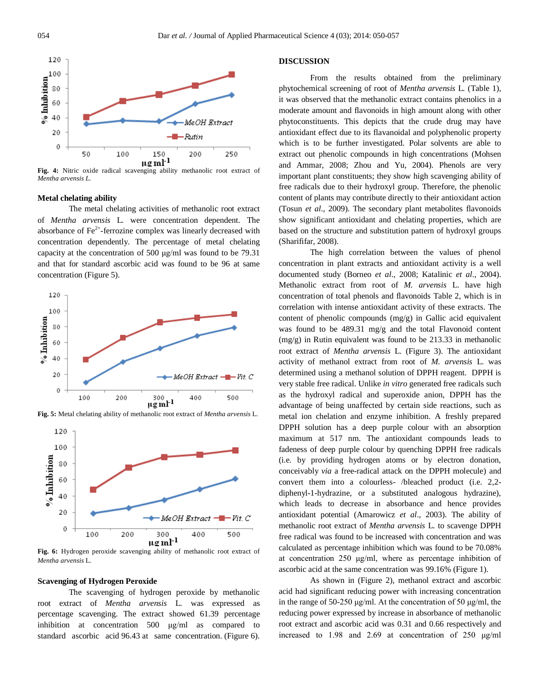

*Mentha arvensis L.*

#### **Metal chelating ability**

The metal chelating activities of methanolic root extract of *Mentha arvensis* L*.* were concentration dependent. The absorbance of  $\text{Fe}^{2+}$ -ferrozine complex was linearly decreased with concentration dependently. The percentage of metal chelating capacity at the concentration of 500 μg/ml was found to be 79.31 and that for standard ascorbic acid was found to be 96 at same concentration (Figure 5).



**Fig. 5:** Metal chelating ability of methanolic root extract of *Mentha arvensis* L*.*



**Fig. 6:** Hydrogen peroxide scavenging ability of methanolic root extract of *Mentha arvensis* L.

#### **Scavenging of Hydrogen Peroxide**

The scavenging of hydrogen peroxide by methanolic root extract of *Mentha arvensis* L*.* was expressed as percentage scavenging. The extract showed 61.39 percentage inhibition at concentration 500 μg/ml as compared to standard ascorbic acid 96.43 at same concentration. (Figure 6).

#### **DISCUSSION**

From the results obtained from the preliminary phytochemical screening of root of *Mentha arvensis* L*.* (Table 1), it was observed that the methanolic extract contains phenolics in a moderate amount and flavonoids in high amount along with other phytoconstituents. This depicts that the crude drug may have antioxidant effect due to its flavanoidal and polyphenolic property which is to be further investigated. Polar solvents are able to extract out phenolic compounds in high concentrations (Mohsen and Ammar, 2008; Zhou and Yu, 2004). Phenols are very important plant constituents; they show high scavenging ability of free radicals due to their hydroxyl group. Therefore, the phenolic content of plants may contribute directly to their antioxidant action (Tosun *et al*., 2009). The secondary plant metabolites flavonoids show significant antioxidant and chelating properties, which are based on the structure and substitution pattern of hydroxyl groups (Sharififar, 2008).

The high correlation between the values of phenol concentration in plant extracts and antioxidant activity is a well documented study (Borneo *et al*., 2008; Katalinic *et al*., 2004). Methanolic extract from root of *M. arvensis* L. have high concentration of total phenols and flavonoids Table 2, which is in correlation with intense antioxidant activity of these extracts. The content of phenolic compounds (mg/g) in Gallic acid equivalent was found to be 489.31 mg/g and the total Flavonoid content (mg/g) in Rutin equivalent was found to be 213.33 in methanolic root extract of *Mentha arvensis* L. (Figure 3). The antioxidant activity of methanol extract from root of *M. arvensis* L. was determined using a methanol solution of DPPH reagent. DPPH is very stable free radical. Unlike *in vitro* generated free radicals such as the hydroxyl radical and superoxide anion, DPPH has the advantage of being unaffected by certain side reactions, such as metal ion chelation and enzyme inhibition. A freshly prepared DPPH solution has a deep purple colour with an absorption maximum at 517 nm. The antioxidant compounds leads to fadeness of deep purple colour by quenching DPPH free radicals (i.e. by providing hydrogen atoms or by electron donation, conceivably *via* a free-radical attack on the DPPH molecule) and convert them into a colourless- /bleached product (i.e. 2,2 diphenyl-1-hydrazine, or a substituted analogous hydrazine), which leads to decrease in absorbance and hence provides antioxidant potential (Amarowicz *et al*., 2003). The ability of methanolic root extract of *Mentha arvensis* L*.* to scavenge DPPH free radical was found to be increased with concentration and was calculated as percentage inhibition which was found to be 70.08% at concentration 250 μg/ml, where as percentage inhibition of ascorbic acid at the same concentration was 99.16% (Figure 1).

As shown in (Figure 2), methanol extract and ascorbic acid had significant reducing power with increasing concentration in the range of 50-250 μg/ml. At the concentration of 50 μg/ml, the reducing power expressed by increase in absorbance of methanolic root extract and ascorbic acid was 0.31 and 0.66 respectively and increased to 1.98 and 2.69 at concentration of 250 μg/ml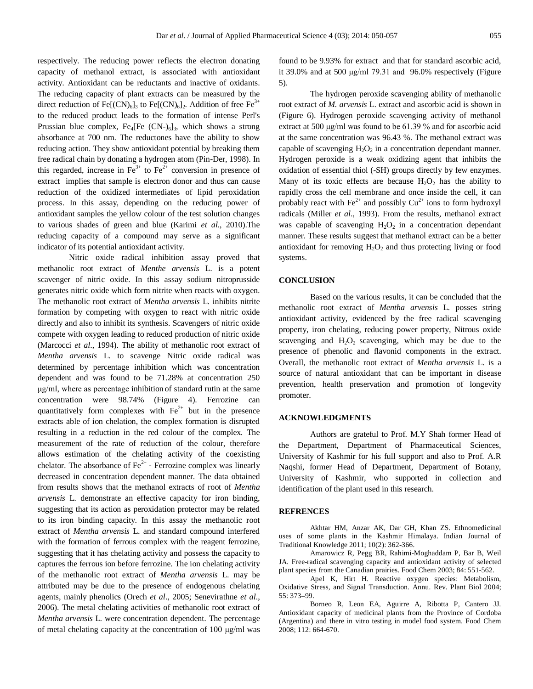respectively. The reducing power reflects the electron donating capacity of methanol extract, is associated with antioxidant activity. Antioxidant can be reductants and inactive of oxidants. The reducing capacity of plant extracts can be measured by the direct reduction of Fe $[(CN)_6]_3$  to Fe $[(CN)_6]_2$ . Addition of free Fe<sup>3+</sup> to the reduced product leads to the formation of intense Perl's Prussian blue complex,  $Fe_4[Fe (CN<sub>0</sub>)<sub>6</sub>]$ , which shows a strong absorbance at 700 nm. The reductones have the ability to show reducing action. They show antioxidant potential by breaking them free radical chain by donating a hydrogen atom (Pin-Der, 1998). In this regarded, increase in  $Fe^{3+}$  to  $Fe^{2+}$  conversion in presence of extract implies that sample is electron donor and thus can cause reduction of the oxidized intermediates of lipid peroxidation process. In this assay, depending on the reducing power of antioxidant samples the yellow colour of the test solution changes to various shades of green and blue (Karimi *et al*., 2010).The reducing capacity of a compound may serve as a significant indicator of its potential antioxidant activity.

Nitric oxide radical inhibition assay proved that methanolic root extract of *Menthe arvensis* L. is a potent scavenger of nitric oxide. In this assay sodium nitroprusside generates nitric oxide which form nitrite when reacts with oxygen. The methanolic root extract of *Mentha arvensis* L*.* inhibits nitrite formation by competing with oxygen to react with nitric oxide directly and also to inhibit its synthesis. Scavengers of nitric oxide compete with oxygen leading to reduced production of nitric oxide (Marcocci *et al*., 1994). The ability of methanolic root extract of *Mentha arvensis* L. to scavenge Nitric oxide radical was determined by percentage inhibition which was concentration dependent and was found to be 71.28% at concentration 250 μg/ml, where as percentage inhibition of standard rutin at the same concentration were 98.74% (Figure 4). Ferrozine can quantitatively form complexes with  $Fe^{2+}$  but in the presence extracts able of ion chelation, the complex formation is disrupted resulting in a reduction in the red colour of the complex. The measurement of the rate of reduction of the colour, therefore allows estimation of the chelating activity of the coexisting chelator. The absorbance of  $\text{Fe}^{2+}$  - Ferrozine complex was linearly decreased in concentration dependent manner. The data obtained from results shows that the methanol extracts of root of *Mentha arvensis* L*.* demonstrate an effective capacity for iron binding, suggesting that its action as peroxidation protector may be related to its iron binding capacity. In this assay the methanolic root extract of *Mentha arvensis* L. and standard compound interfered with the formation of ferrous complex with the reagent ferrozine, suggesting that it has chelating activity and possess the capacity to captures the ferrous ion before ferrozine. The ion chelating activity of the methanolic root extract of *Mentha arvensis* L. may be attributed may be due to the presence of endogenous chelating agents, mainly phenolics (Orech *et al*., 2005; Senevirathne *et al*., 2006). The metal chelating activities of methanolic root extract of *Mentha arvensis* L*.* were concentration dependent. The percentage of metal chelating capacity at the concentration of 100 μg/ml was

found to be 9.93% for extract and that for standard ascorbic acid, it 39.0% and at 500 μg/ml 79.31 and 96.0% respectively (Figure 5).

The hydrogen peroxide scavenging ability of methanolic root extract of *M. arvensis* L. extract and ascorbic acid is shown in (Figure 6). Hydrogen peroxide scavenging activity of methanol extract at 500 μg/ml was found to be 61.39 % and for ascorbic acid at the same concentration was 96.43 %. The methanol extract was capable of scavenging  $H_2O_2$  in a concentration dependant manner. Hydrogen peroxide is a weak oxidizing agent that inhibits the oxidation of essential thiol (-SH) groups directly by few enzymes. Many of its toxic effects are because  $H_2O_2$  has the ability to rapidly cross the cell membrane and once inside the cell, it can probably react with  $Fe^{2+}$  and possibly  $Cu^{2+}$  ions to form hydroxyl radicals (Miller *et al*., 1993). From the results, methanol extract was capable of scavenging  $H_2O_2$  in a concentration dependant manner. These results suggest that methanol extract can be a better antioxidant for removing  $H_2O_2$  and thus protecting living or food systems.

#### **CONCLUSION**

Based on the various results, it can be concluded that the methanolic root extract of *Mentha arvensis* L*.* posses string antioxidant activity, evidenced by the free radical scavenging property, iron chelating, reducing power property, Nitrous oxide scavenging and  $H_2O_2$  scavenging, which may be due to the presence of phenolic and flavonid components in the extract. Overall, the methanolic root extract of *Mentha arvensis* L. is a source of natural antioxidant that can be important in disease prevention, health preservation and promotion of longevity promoter.

#### **ACKNOWLEDGMENTS**

Authors are grateful to Prof. M.Y Shah former Head of the Department, Department of Pharmaceutical Sciences, University of Kashmir for his full support and also to Prof. A.R Naqshi, former Head of Department, Department of Botany, University of Kashmir, who supported in collection and identification of the plant used in this research.

### **REFRENCES**

Akhtar HM, Anzar AK, Dar GH, Khan ZS. Ethnomedicinal uses of some plants in the Kashmir Himalaya. Indian Journal of Traditional Knowledge 2011; 10(2): 362-366.

Amarowicz R, Pegg BR, Rahimi-Moghaddam P, Bar B, Weil JA. Free-radical scavenging capacity and antioxidant activity of selected plant species from the Canadian prairies. Food Chem 2003; 84: 551-562.

Apel K, Hirt H. Reactive oxygen species: Metabolism, Oxidative Stress, and Signal Transduction. Annu. Rev. Plant Biol 2004; 55: 373–99.

Borneo R, Leon EA, Aguirre A, Ribotta P, Cantero JJ. Antioxidant capacity of medicinal plants from the Province of Cordoba (Argentina) and there in vitro testing in model food system. Food Chem 2008; 112: 664-670.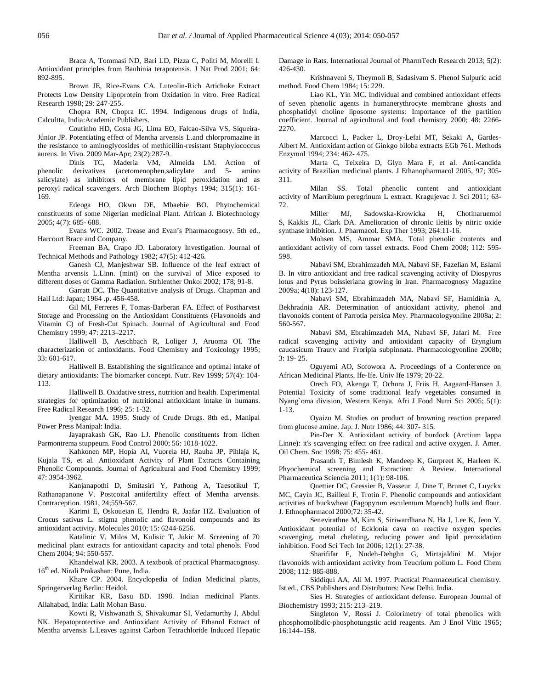Braca A, Tommasi ND, Bari LD, Pizza C, Politi M, Morelli I. Antioxidant principles from Bauhinia terapotensis. J Nat Prod 2001; 64: 892-895.

Brown JE, Rice-Evans CA. Luteolin-Rich Artichoke Extract Protects Low Density Lipoprotein from Oxidation in vitro. Free Radical Research 1998; 29: 247-255.

Chopra RN, Chopra IC. 1994. Indigenous drugs of India, Calcultta, India:Academic Publishers.

Coutinho HD, Costa JG, Lima EO, Falcao-Silva VS, Siqueira-Júnior JP. Potentiating effect of Mentha arvensis L.and chlorpromazine in the resistance to aminoglycosides of methicillin-resistant Staphylococcus aureus. In Vivo. 2009 Mar-Apr; 23(2):287-9.

Dinis TC, Maderia VM, Almeida LM. Action of phenolic derivatives (acetomenophen,salicylate and 5- amino salicylate) as inhibitors of membrane lipid peroxidation and as peroxyl radical scavengers. Arch Biochem Biophys 1994; 315(1): 161- 169.

Edeoga HO, Okwu DE, Mbaebie BO. Phytochemical constituents of some Nigerian medicinal Plant. African J. Biotechnology 2005; 4(7): 685- 688.

Evans WC. 2002. Trease and Evan's Pharmacognosy. 5th ed., Harcourt Brace and Company.

Freeman BA, Crapo JD. Laboratory Investigation. Journal of Technical Methods and Pathology 1982; 47(5): 412-426.

Ganesh CJ, Manjeshwar SB. Influence of the leaf extract of Mentha arvensis L.Linn. (mint) on the survival of Mice exposed to different doses of Gamma Radiation. Strhlenther Onkol 2002; 178; 91-8.

Garratt DC. The Quantitative analysis of Drugs. Chapman and Hall Ltd: Japan; 1964 .p. 456-458.

Gil MI, Ferreres F, Tomas-Barberan FA. Effect of Postharvest Storage and Processing on the Antioxidant Constituents (Flavonoids and Vitamin C) of Fresh-Cut Spinach. Journal of Agricultural and Food Chemistry 1999; 47: 2213–2217.

Halliwell B, Aeschbach R, Loliger J, Aruoma OI. The characterization of antioxidants. Food Chemistry and Toxicology 1995; 33: 601-617.

Halliwell B. Establishing the significance and optimal intake of dietary antioxidants: The biomarker concept. Nutr. Rev 1999; 57(4): 104- 113.

Halliwell B. Oxidative stress, nutrition and health. Experimental strategies for optimization of nutritional antioxidant intake in humans. Free Radical Research 1996; 25: 1-32.

Iyengar MA. 1995. Study of Crude Drugs. 8th ed., Manipal Power Press Manipal: India.

Jayaprakash GK, Rao LJ. Phenolic constituents from lichen Parmontrema stuppeum. Food Control 2000; 56: 1018-1022.

Kahkonen MP, Hopia AI, Vuorela HJ, Rauha JP, Pihlaja K, Kujala TS, et al. Antioxidant Activity of Plant Extracts Containing Phenolic Compounds. Journal of Agricultural and Food Chemistry 1999; 47: 3954-3962.

Kanjanapothi D, Smitasiri Y, Pathong A, Taesotikul T, Rathanapanone V. Postcoital antifertility effect of Mentha arvensis. Contraception. 1981, 24;559-567.

Karimi E, Oskoueian E, Hendra R, Jaafar HZ. Evaluation of Crocus sativus L. stigma phenolic and flavonoid compounds and its antioxidant activity. Molecules 2010; 15: 6244-6256.

Katalinic V, Milos M, Kulisic T, Jukic M. Screening of 70 medicinal plant extracts for antioxidant capacity and total phenols. Food Chem 2004; 94: 550-557.

Khandelwal KR. 2003. A textbook of practical Pharmacognosy. 16<sup>th</sup> ed. Nirali Prakashan: Pune, India.

Khare CP. 2004. Encyclopedia of Indian Medicinal plants, Springerverlag Berlin: Heidol.

Kiritikar KR, Basu BD. 1998. Indian medicinal Plants. Allahabad, India: Lalit Mohan Basu.

Kowti R, Vishwanath S, Shivakumar SI, Vedamurthy J, Abdul NK. Hepatoprotective and Antioxidant Activity of Ethanol Extract of Mentha arvensis L.Leaves against Carbon Tetrachloride Induced Hepatic Damage in Rats. International Journal of PharmTech Research 2013; 5(2): 426-430.

Krishnaveni S, Theymoli B, Sadasivam S. Phenol Sulpuric acid method. Food Chem 1984; 15: 229.

Liao KL, Yin MC. Individual and combined antioxidant effects of seven phenolic agents in humanerythrocyte membrane ghosts and phosphatidyl choline liposome systems: Importance of the partition coefficient. Journal of agricultural and food chemistry 2000; 48: 2266- 2270.

Marcocci L, Packer L, Droy-Lefai MT, Sekaki A, Gardes-Albert M. Antioxidant action of Ginkgo biloba extracts EGb 761. Methods Enzymol 1994; 234: 462- 475.

Marta C, Teixeira D, Glyn Mara F, et al. Anti-candida activity of Brazilian medicinal plants. J Ethanopharmacol 2005, 97; 305- 311.

Milan SS. Total phenolic content and antioxidant activity of Marribium peregrinum L extract. Kragujevac J. Sci 2011; 63- 72.

Miller MJ, Sadowska-Krowicka H, Chotinaruemol S, Kakkis JL, Clark DA. Amelioration of chronic ileitis by nitric oxide synthase inhibition. J. Pharmacol. Exp Ther 1993; 264:11-16.

Mohsen MS, Ammar SMA. Total phenolic contents and antioxidant activity of corn tassel extracts. Food Chem 2008; 112: 595- 598.

Nabavi SM, Ebrahimzadeh MA, Nabavi SF, Fazelian M, Eslami B. In vitro antioxidant and free radical scavenging activity of Diospyros lotus and Pyrus boissieriana growing in Iran. Pharmacognosy Magazine 2009a; 4(18): 123-127.

Nabavi SM, Ebrahimzadeh MA, Nabavi SF, Hamidinia A, Bekhradnia AR. Determination of antioxidant activity, phenol and flavonoids content of Parrotia persica Mey. Pharmacologyonline 2008a; 2: 560-567.

Nabavi SM, Ebrahimzadeh MA, Nabavi SF, Jafari M. Free radical scavenging activity and antioxidant capacity of Eryngium caucasicum Trautv and Froripia subpinnata. Pharmacologyonline 2008b; 3: 19- 25.

Oguyemi AO, Sofowora A. Proceedings of a Conference on African Medicinal Plants, Ife-Ife. Univ Ife 1979; 20-22.

Orech FO, Akenga T, Ochora J, Friis H, Aagaard‐Hansen J. Potential Toxicity of some traditional leafy vegetables consumed in Nyang`oma division, Western Kenya. Afri J Food Nutri Sci 2005; 5(1): 1‐13.

Oyaizu M. Studies on product of browning reaction prepared from glucose amine. Jap. J. Nutr 1986; 44: 307- 315.

Pin-Der X. Antioxidant activity of burdock (Arctium lappa Linne): it's scavenging effect on free radical and active oxygen. J. Amer. Oil Chem. Soc 1998; 75: 455- 461.

Prasanth T, Bimlesh K, Mandeep K, Gurpreet K, Harleen K. Phyochemical screening and Extraction: A Review. International Pharmaceutica Sciencia 2011; 1(1): 98-106.

Quettier DC, Gressier B, Vasseur J, Dine T, Brunet C, Luyckx MC, Cayin JC, Bailleul F, Trotin F. Phenolic compounds and antioxidant activities of buckwheat (Fagopyrum esculentum Moench) hulls and flour. J. Ethnopharmacol 2000;72: 35-42.

Senevirathne M, Kim S, Siriwardhana N, Ha J, Lee K, Jeon Y. Antioxidant potential of Ecklonia cava on reactive oxygen species scavenging, metal chelating, reducing power and lipid peroxidation inhibition. Food Sci Tech Int 2006; 12(1): 27‐38.

Sharififar F, Nudeh-Dehghn G, Mirtajaldini M. Major flavonoids with antioxidant activity from Teucrium polium L. Food Chem 2008; 112: 885-888.

Siddiqui AA, Ali M. 1997. Practical Pharmaceutical chemistry. Ist ed., CBS Publishers and Distributors: New Delhi. India.

Sies H. Strategies of antioxidant defense. European Journal of Biochemistry 1993; 215: 213–219.

Singleton V, Rossi J. Colorimetry of total phenolics with phosphomolibdic-phosphotungstic acid reagents. Am J Enol Vitic 1965; 16:144–158.